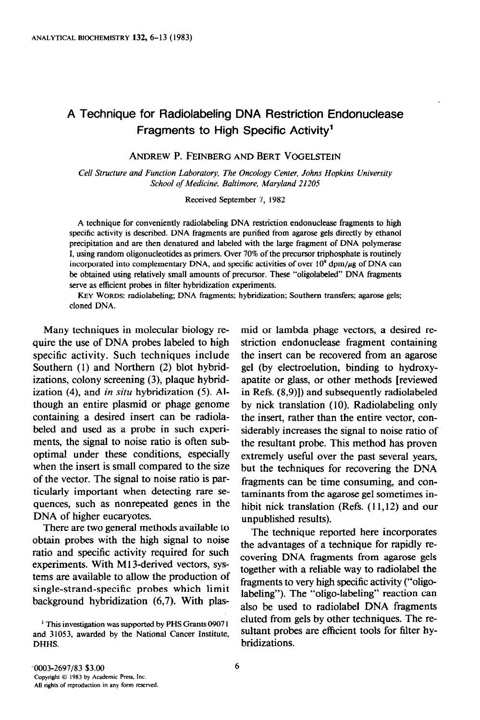# A Technique for Radiolabeling DNA Restriction Endonuclease Fragments to High Specific Activity'

ANDREW P. FEINBERG AND BERT VOGELSTEIN

Cell Structure and Function Laboratory, The Oncology Center, Johns Hopkins University School of Medicine. Baltimore, Maryland 21205

Received September 7, 1982

A technique for conveniently radiolabeling DNA restriction endonuclease fragments to high specific activity is described. DNA fragments are purified from agarose gels directly by ethanol precipitation and are then denatured and labeled with the large fragment of DNA polymerase I, using random oligonucleotides as primers. Over 70% of the precursor triphosphate is routinely incorporated into complementary DNA, and specific activities of over  $10^9$  dpm/ $\mu$ g of DNA can be obtained using relatively small amounts of precursor. These "oligolabeled" DNA fragments serve as efficient probes in filter hybridization experiments.

KEY WORDS: radiolabeling; DNA fragments; hybridization; Southern transfers; agarose gels; cloned DNA.

of the vector. The signal to noise ratio is particularly important when detecting rare sequences, such as nonrepeated genes in the DNA of higher eucaryotes.

There are two general methods available to obtain probes with the high signal to noise ratio and specific activity required for such experiments. With M13-derived vectors, systems are available to allow the production of single-strand-specific probes which limit background hybridization (6,7). With plas-

Many techniques in molecular biology re- mid or lambda phage vectors, a desired require the use of DNA probes labeled to high striction endonuclease fragment containing specific activity. Such techniques include the insert can be recovered from an agarose Southern (1) and Northern (2) blot hybrid- gel (by electroelution, binding to hydroxyizations, colony screening (3), plaque hybrid- apatite or glass, or other methods [reviewed ization  $(4)$ , and in situ hybridization  $(5)$ . Al- in Refs.  $(8,9)$ ]) and subsequently radiolabeled though an entire plasmid or phage genome by nick translation (10). Radiolabeling only containing a desired insert can be radiola- the insert, rather than the entire vector, conbeled and used as a probe in such experi- siderably increases the signal to noise ratio of ments, the signal to noise ratio is often sub-<br>optimal under these conditions, especially extremely useful over the nast several vears optimal under these conditions, especially extremely useful over the past several years, when the insert is small compared to the size  $\mu$  but the techniques for recovering the DNA but the techniques for recovering the DNA fragments can be time consuming, and contaminants from the agarose gel sometimes inhibit nick translation (Refs. (11,12) and our unpublished results).

> The technique reported here incorporates the advantages of a technique for rapidly recovering DNA fragments from agarose gels together with a reliable way to radiolabel the fragments to very high specific activity ("oligolabeling"). The "oligo-labeling" reaction can also be used to radiolabel DNA fragments eluted from gels by other techniques. The resultant probes are efficient tools for filter hybridizations.

<sup>&</sup>lt;sup>1</sup> This investigation was supported by PHS Grants 09071 and 31053, awarded by the National Cancer Institute, DHHS.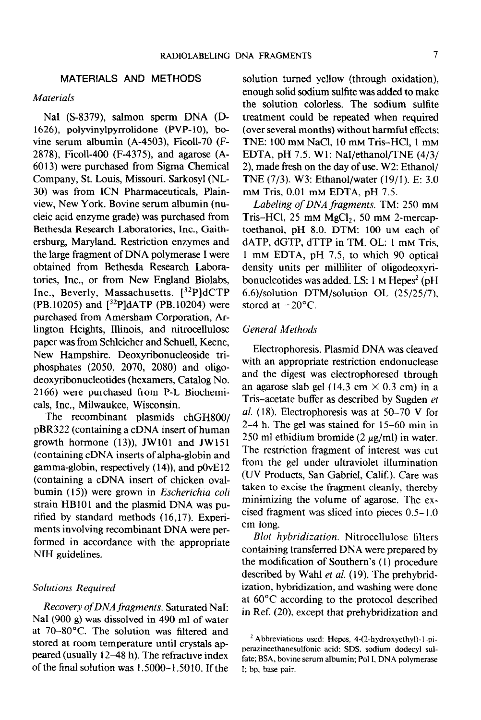### MATERIALS AND METHODS

### **Materials**

NaI (S-8379), salmon sperm DNA (D-1626), polyvinylpyrrolidone (PVP-10), bovine serum albumin (A-4503), Ficoll-70 (F-2878), Ficoll-400 (F-4375), and agarose (A-60 13) were purchased from Sigma Chemical Company, St. Louis, Missouri. Sarkosyl (NL-30) was from ICN Pharmaceuticals, Plainview, New York. Bovine serum albumin (nucleic acid enzyme grade) was purchased from Bethesda Research Laboratories, Inc., Gaithersburg, Maryland. Restriction enzymes and the large fragment of DNA polymerase I were obtained from Bethesda Research Laboratories, Inc., or from New England Biolabs, Inc., Beverly, Massachusetts. [32P]dCTP (PB. 10205) and  $\binom{32}{9}$ dATP (PB. 10204) were purchased from Amersham Corporation, Arlington Heights, Illinois, and nitrocellulose paper was from Schleicher and Schuell, Keene, New Hampshire. Deoxyribonucleoside triphosphates (2050, 2070, 2080) and oligodeoxyribonucleotides (hexamers, Catalog No. 2 166) were purchased from P-L Biochemicals, Inc., Milwaukee, Wisconsin.

The recombinant plasmids chGH800/ pBR322 (containing a cDNA insert of human growth hormone (13)), JWlOl and JW151 (containing cDNA inserts of alpha-globin and gamma-globin, respectively ( 14)), and pOvE 12 (containing a cDNA insert of chicken ovalbumin (15)) were grown in Escherichia coli strain HB101 and the plasmid DNA was purified by standard methods (16,17). Experiments involving recombinant DNA were performed in accordance with the appropriate NIH guidelines.

### Solutions Required

 $R_{\text{max}}$  of  $R_{\text{max}}$  of  $R_{\text{max}}$  fragments. Saturated NaI:  $R_{\text{max}}$  $N_{\rm H}$  (900  $N_{\rm H}$  m,  $N_{\rm H}$  m,  $N_{\rm H}$  m,  $N_{\rm H}$  m,  $N_{\rm H}$  m,  $N_{\rm H}$  m,  $N_{\rm H}$  m,  $N_{\rm H}$  m,  $N_{\rm H}$  m,  $N_{\rm H}$  m,  $N_{\rm H}$  m,  $N_{\rm H}$  m,  $N_{\rm H}$  m,  $N_{\rm H}$  m,  $N_{\rm H}$  m,  $N_{\rm H}$  m,  $N_{\rm H}$  m,  $N_{$ NaI (900 g) was dissolved in 490 ml of water<br>at 70-80°C. The solution was filtered and stored at room temperature until crystals appeared (usually 12-48 h). The refractive index of the final solution was 1.5000- 1.50 10. If the solution turned yellow (through oxidation), enough solid sodium sulfite was added to make the solution colorless. The sodium sulfite treatment could be repeated when required (over several months) without harmful effects; TNE: 100 mM NaCl, 10 mM Tris-HCl, 1 mM EDTA, pH 7.5. W 1: NaI/ethanol/TNE (4/3/ 2), made fresh on the day of use. W2: Ethanol/ TNE (7/3). W3: Ethanol/water (19/l). E: 3.0 mM Tris, 0.01 mM EDTA, pH 7.5.

Labeling of DNA fragments. TM: 250 mM Tris-HCl,  $25 \text{ mM MgCl}_2$ , 50 mM 2-mercaptoethanol, pH 8.0. DTM: 100 UM each of dATP, dGTP, dTTP in TM. OL: 1 mM Tris, 1 mM EDTA, pH 7.5, to which 90 optical density units per milliliter of oligodeoxyribonucleotides was added. LS:  $1 \text{ M}$  Hepes<sup>2</sup> (pH) 6.6)/solution DTM/solution OL (25/25/7), stored at  $-20^{\circ}$ C.

### General Methods

Electrophoresis. Plasmid DNA was cleaved with an appropriate restriction endonuclease and the digest was electrophoresed through an agarose slab gel (14.3 cm  $\times$  0.3 cm) in a Tris-acetate buffer as described by Sugden et al.  $(18)$ . Electrophoresis was at 50–70 V for 2-4 h. The gel was stained for 15-60 min in 250 ml ethidium bromide (2  $\mu$ g/ml) in water. The restriction fragment of interest was cut from the gel under ultraviolet illumination (UV Products, San Gabriel, Calif.). Care was taken to excise the fragment cleanly, thereby minimizing the volume of agarose. The excised fragment was sliced into pieces 0.5-I .O cm long.

Blot hybridization. Nitrocellulose filters containing transferred DNA were prepared by the modification of Southern's ( 1) procedure de modification of bounding (19).  $p_0(x_0)$  $\frac{1}{2}$  is the domestic divergence does not do not determine were done. at 600°C according to the protocol described to the protocol described to the protocol described to the protocol described to the protocol described to the protocol described to the protocol described to the protocol descr at  $\sigma \sim c$  according to the protocol described

' Abbreviations used: Hepes, 4-(2-hydroxyethyl)- I-pi-

 $\pi$ oorevlations used: Tiepes,  $\pi$ (z-nydroxyemyr)-1-pi perazineethanesulfonic acid; SDS, sodium dodecyl sulfate; BSA, bovine serum albumin; Pol I, DNA polymerase I; bp, base pair.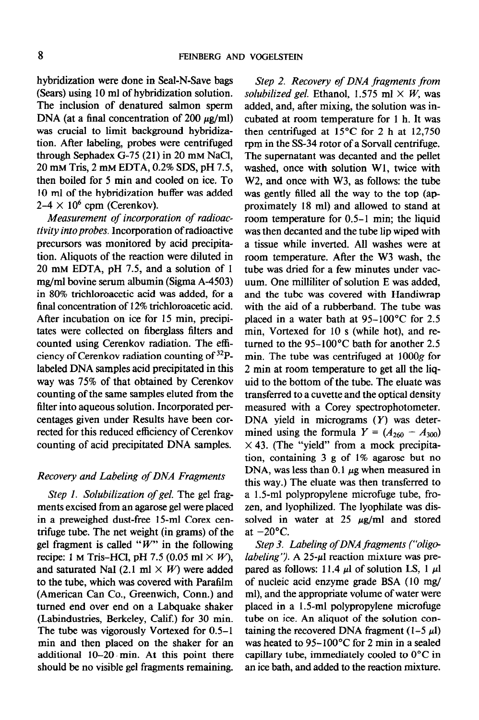hybridization were done in Seal-N-Save bags (Sears) using 10 ml of hybridization solution. The inclusion of denatured salmon sperm DNA (at a final concentration of 200  $\mu$ g/ml) was crucial to limit background hybridization. After labeling, probes were centrifuged through Sephadex  $G-75(21)$  in 20 mm NaCl, 20 mM Tris, 2 mM EDTA, 0.2% SDS, pH 7.5, then boiled for 5 min and cooled on ice. To 10 ml of the hybridization buffer was added  $2-4 \times 10^6$  cpm (Cerenkov).

Measurement of incorporation of radioactivity into probes. Incorporation of radioactive precursors was monitored by acid precipitation. Aliquots of the reaction were diluted in  $20 \text{ mm}$  EDTA, pH 7.5, and a solution of 1 mg/ml bovine serum albumin (Sigma A-4503) in 80% trichloroacetic acid was added, for a final concentration of 12% trichloroacetic acid. After incubation on ice for 15 min, precipitates were collected on fiberglass filters and counted using Cerenkov radiation. The efficiency of Cerenkov radiation counting of 32Plabeled DNA samples acid precipitated in this way was 75% of that obtained by Cerenkov counting of the same samples eluted from the filter into aqueous solution. Incorporated percentages given under Results have been corrected for this reduced efficiency of Cerenkov counting of acid precipitated DNA samples.

### Recovery and Labeling of DNA Fragments

Step 1. Solubilization of gel. The gel fragments excised from an agarose gel were placed in a preweighed dust-free 15-ml Corex centrifuge tube. The net weight (in grams) of the gel fragment is called " $W$ " in the following recipe: 1 M Tris-HCl, pH 7.5 (0.05 ml  $\times$  W), and saturated NaI (2.1 ml  $\times$  W) were added to the tube, which was covered with Parafilm (American Can Co., Greenwich, Conn.) and  $\frac{1}{2}$  the order of  $\frac{1}{2}$  and  $\frac{1}{2}$  and  $\frac{1}{2}$  and  $\frac{1}{2}$  and  $\frac{1}{2}$  and  $\frac{1}{2}$  and  $\frac{1}{2}$  and  $\frac{1}{2}$  and  $\frac{1}{2}$  and  $\frac{1}{2}$  and  $\frac{1}{2}$  and  $\frac{1}{2}$  and  $\frac{1}{2}$  and  $\frac{1}{2}$  and  $\$ (urned the over the on a Labilary share) (Labindustries, Berkeley, Calif.) for 30 min. The tube was vigorously Vortexed for  $0.5-1$ min and then placed on the shaker for an additional  $10-20$  min. At this point there should be no visible gel fragments remaining.

Step 2. Recovery of DNA fragments from solubilized gel. Ethanol, 1.575 ml  $\times$  W, was added, and, after mixing, the solution was incubated at room temperature for 1 h. It was then centrifuged at 15°C for 2 h at 12,750 rpm in the SS-34 rotor of a Sorvall centrifuge. The supematant was decanted and the pellet washed, once with solution W1, twice with W2, and once with W3, as follows: the tube was gently filled all the way to the top (approximately 18 ml) and allowed to stand at room temperature for 0.5-l min; the liquid was then decanted and the tube lip wiped with a tissue while inverted. All washes were at room temperature. After the W3 wash, the tube was dried for a few minutes under vacuum. One milliliter of solution E was added, and the tube was covered with Handiwrap with the aid of a rubberband. The tube was placed in a water bath at 95-100°C for 2.5 min, Vortexed for 10 s (while hot), and returned to the 95-1OO'C bath for another 2.5 min. The tube was centrifuged at 1OOOg for 2 min at room temperature to get all the liquid to the bottom of the tube. The eluate was transferred to a cuvette and the optical density measured with a Corey spectrophotometer. DNA yield in micrograms  $(Y)$  was determined using the formula  $Y = (A_{260} - A_{300})$  $\times$  43. (The "yield" from a mock precipitation, containing 3 g of 1% agarose but no DNA, was less than 0.1  $\mu$ g when measured in this way.) The eluate was then transferred to a 1.5-ml polypropylene microfuge tube, frozen, and lyophilized. The lyophilate was dissolved in water at 25  $\mu$ g/ml and stored at  $-20$ °C.

Step 3. Labeling of DNA fragments ("oligolabeling''). A  $25-\mu$  reaction mixture was prepared as follows: 11.4  $\mu$ l of solution LS, 1  $\mu$ l parce as follows. If  $\pi$  *parce accuracy*  $\pi$ of hudden and the grade  $\mathbf{D}$ . (10  $\mathbf{m}\mathbf{g}$ ) ml), and the appropriate volume of water were placed in a 1.5-ml polypropylene microfuge. tube on ice. An aliquot of the solution containing the recovered DNA fragment  $(1-5 \mu l)$ was heated to  $95-100^{\circ}$ C for 2 min in a sealed capillary tube, immediately cooled to  $0^{\circ}$ C in an ice bath, and added to the reaction mixture.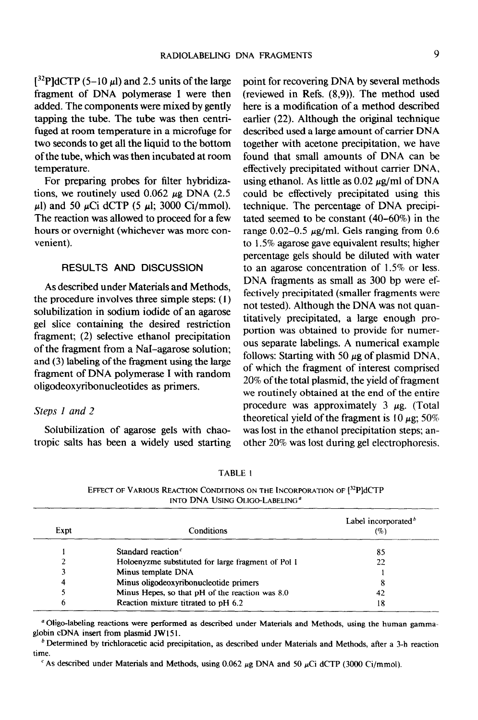$[^{32}P]$ dCTP (5-10  $\mu$ l) and 2.5 units of the large fragment of DNA polymerase 1 were then added. The components were mixed by gently tapping the tube. The tube was then centrifuged at room temperature in a microfuge for two seconds to get all the liquid to the bottom of the tube, which was then incubated at room temperature.

For preparing probes for filter hybridizations, we routinely used  $0.062 \mu$ g DNA (2.5)  $\mu$ ) and 50  $\mu$ Ci dCTP (5  $\mu$ ); 3000 Ci/mmol). The reaction was allowed to proceed for a few hours or overnight (whichever was more convenient).

## RESULTS AND DISCUSSION

As described under Materials and Methods, the procedure involves three simple steps: ( 1) solubilization in sodium iodide of an agarose gel slice containing the desired restriction fragment; (2) selective ethanol precipitation of the fragment from a NaI-agarose solution; and (3) labeling of the fragment using the large fragment of DNA polymerase I with random oligodeoxyribonucleotides as primers.

#### Steps I and 2

Solubilization of agarose gels with chaotropic salts has been a widely used starting point for recovering DNA by several methods (reviewed in Refs. (8,9)). The method used here is a modification of a method described earlier (22). Although the original technique described used a large amount of carrier DNA together with acetone precipitation, we have found that small amounts of DNA can be effectively precipitated without carrier DNA, using ethanol. As little as  $0.02 \mu g/ml$  of DNA could be effectively precipitated using this technique. The percentage of DNA precipitated seemed to be constant (40-60%) in the range  $0.02-0.5 \mu$ g/ml. Gels ranging from 0.6 to 1.5% agarose gave equivalent results; higher percentage gels should be diluted with water to an agarose concentration of 1.5% or less. DNA fragments as small as 300 bp were effectively precipitated (smaller fragments were not tested). Although the DNA was not quantitatively precipitated, a large enough proportion was obtained to provide for numerous separate labelings. A numerical example follows: Starting with 50  $\mu$ g of plasmid DNA, of which the fragment of interest comprised 20% of the total plasmid, the yield of fragment we routinely obtained at the end of the entire procedure was approximately  $3 \mu g$ . (Total theoretical yield of the fragment is 10  $\mu$ g; 50% was lost in the ethanol precipitation steps; another 20% was lost during gel electrophoresis.

TABLE I

EFFECT OF VARIOUS REACTION CONDITIONS ON THE INCORPORATION OF  $[32P]$ dCTP INTO DNA USING OLIGO-LABELING<sup>a</sup>

| Expt | Conditions                                         | Label incorporated <sup>b</sup><br>$( \% )$ |  |
|------|----------------------------------------------------|---------------------------------------------|--|
|      | Standard reaction <sup>c</sup>                     | 85                                          |  |
|      | Holoenyzme substituted for large fragment of Pol I | 22                                          |  |
|      | Minus template DNA                                 |                                             |  |
| л    | Minus oligodeoxyribonucleotide primers             |                                             |  |
|      | Minus Hepes, so that pH of the reaction was 8.0    | 42                                          |  |
|      | Reaction mixture titrated to pH 6.2                | 18                                          |  |

<sup>a</sup> Oligo-labeling reactions were performed as described under Materials and Methods, using the human gammaglobin cDNA insert from plasmid JW 15 1.

 $<sup>b</sup>$  Determined by trichloracetic acid precipitation, as described under Materials and Methods, after a 3-h reaction</sup> time.

<sup>c</sup> As described under Materials and Methods, using 0.062  $\mu$ g DNA and 50  $\mu$ Ci dCTP (3000 Ci/mmol).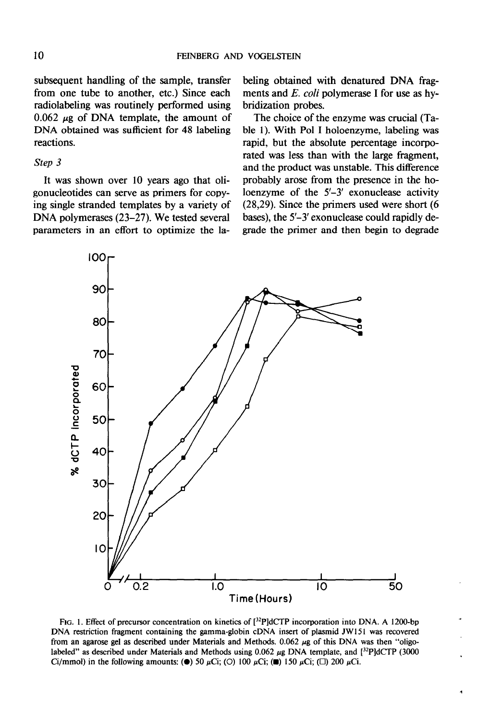subsequent handling of the sample, transfer from one tube to another, etc.) Since each radiolabeling was routinely performed using 0.062  $\mu$ g of DNA template, the amount of DNA obtained was sufficient for 48 labeling reactions.

### Step 3

It was shown over 10 years ago that oligonucleotides can serve as primers for copying single stranded templates by a variety of DNA polymerases (23-27). We tested several parameters in an effort to optimize the labeling obtained with denatured DNA fragments and E. coli polymerase I for use as hybridization probes.

The choice of the enzyme was crucial (Table 1). With Pol I holoenzyme, labeling was rapid, but the absolute percentage incorporated was less than with the large fragment, and the product was unstable. This difference probably arose from the presence in the holoenzyme of the 5'-3' exonuclease activity (28,29). Since the primers used were short (6 bases), the 5'-3' exonuclease could rapidly degrade the primer and then begin to degrade



FIG. 1. Effect of precursor concentration on kinetics of  $[^{32}P]dCTP$  incorporation into DNA. A 1200-bp DNA restriction fragment containing the gamma-globin cDNA insert of plasmid JWl51 was recovered from an agarose gel as described under Materials and Methods. 0.062  $\mu$ g of this DNA was then "oligolabeled" as described under Materials and Methods using  $0.062 \mu$ g DNA template, and  $\frac{32P}{dCTP}$  (3000 Ci/mmol) in the following amounts: ( $\bullet$ ) 50  $\mu$ Ci; (O) 100  $\mu$ Ci; ( $\Box$ ) 150  $\mu$ Ci; ( $\Box$ ) 200  $\mu$ Ci.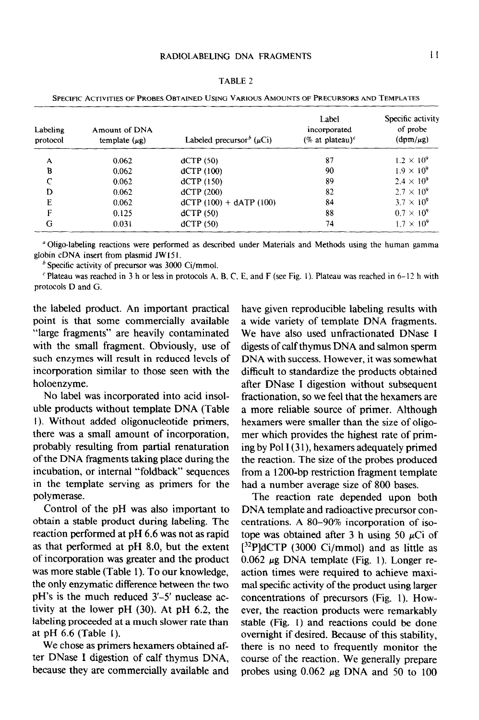| SPECIFIC ACTIVITIES OF PROBES OBTAINED USING VARIOUS AMOUNTS OF PRECURSORS AND TEMPLATES |                                     |                                            |                                                    |                                                |  |
|------------------------------------------------------------------------------------------|-------------------------------------|--------------------------------------------|----------------------------------------------------|------------------------------------------------|--|
| Labeling<br>protocol                                                                     | Amount of DNA<br>template $(\mu g)$ | Labeled precursor <sup>b</sup> ( $\mu$ Ci) | Label<br>incorporated<br>(% at plateau) $\epsilon$ | Specific activity<br>of probe<br>$(dpm/\mu g)$ |  |
| A                                                                                        | 0.062                               | dCTP(50)                                   | 87                                                 | $1.2 \times 10^{9}$                            |  |
| B                                                                                        | 0.062                               | dCTP(100)                                  | 90                                                 | $1.9 \times 10^{9}$                            |  |
| $\subset$                                                                                | 0.062                               | dCTP(150)                                  | 89                                                 | $2.4 \times 10^{9}$                            |  |
| D                                                                                        | 0.062                               | dCTP(200)                                  | 82                                                 | $2.7 \times 10^{9}$                            |  |
| E                                                                                        | 0.062                               | $dCTP (100) + dATP (100)$                  | 84                                                 | $3.7 \times 10^{9}$                            |  |
| F                                                                                        | 0.125                               | dCTP(50)                                   | 88                                                 | $0.7 \times 10^9$                              |  |
| G                                                                                        | 0.031                               | dCTP(50)                                   | 74                                                 | $1.7 \times 10^{9}$                            |  |
|                                                                                          |                                     |                                            |                                                    |                                                |  |

TABLE 2

"Oligo-labeling reactions were performed as described under Materials and Methods using the human gamma globin cDNA insert from plasmid JW151.

 $b$  Specific activity of precursor was 3000 Ci/mmol.

 $\epsilon$  Plateau was reached in 3 h or less in protocols A, B, C, E, and F (see Fig. 1). Plateau was reached in 6-12 h with protocols D and G.

the labeled product. An important practical point is that some commercially available "large fragments" are heavily contaminated with the small fragment. Obviously, use of such enzymes will result in reduced levels of incorporation similar to those seen with the holoenzyme.

No label was incorporated into acid insoluble products without template DNA (Table 1). Without added oligonucleotide primers, there was a small amount of incorporation, probably resulting from partial renaturation of the DNA fragments taking place during the incubation, or internal "foldback" sequences in the template serving as primers for the polymerase.

Control of the pH was also important to obtain a stable product during labeling. The reaction performed at pH 6.6 was not as rapid as that performed at pH 8.0, but the extent of incorporation was greater and the product was more stable (Table 1). To our knowledge, the only enzymatic difference between the two pH's  $\frac{1}{3}$  -5'-5' nuclear  $\frac{1}{3}$  -5'-5' nuclear ac-5'-5' nuclear ac-5'-5' pH  $\sigma$  is the little reduced  $\sigma$ - $\sigma$  huercase activity at the lower pH  $(30)$ . At pH  $6.2$ , the labeling proceeded at a much slower rate than<br>at pH 6.6 (Table 1).  $W = V \times V$ 

 $t_{\rm c} = 0.16$  digestion of california  $\sim 0.16$  digestion of  $\sim 0.14$ ter DNase I digestion of calf thymus DNA,<br>because they are commercially available and have given reproducible labeling results with a wide variety of template DNA fragments. We have also used unfractionated DNase I digests of calf thymus DNA and salmon sperm DNA with success. However, it was somewhat difficult to standardize the products obtained after DNase I digestion without subsequent fractionation, so we feel that the hexamers are a more reliable source of primer. Although hexamers were smaller than the size of oligomer which provides the highest rate of priming by Pol  $I(31)$ , hexamers adequately primed the reaction. The size of the probes produced from a 1200-bp restriction fragment template had a number average size of 800 bases.

The reaction rate depended upon both DNA template and radioactive precursor concentrations. A 80-90% incorporation of isotope was obtained after 3 h using 50  $\mu$ Ci of  $[32P]$ dCTP (3000 Ci/mmol) and as little as  $\frac{1}{2}$  pc DNA template  $\frac{1}{2}$  the  $\frac{1}{2}$  $\frac{1}{2}$  and the complete  $\frac{1}{2}$  and  $\frac{1}{2}$  action may be maximally maximal. action times were required to achieve maxi-<br>mal specific activity of the product using larger mas specific activity of the product using large concentrations of precursors  $(11g, 1)$ . How ever, the reaction products were remarkably stable (Fig. 1) and reactions could be done overnight if desired. Because of this stability, there is no need to frequently monitor the course of the reaction. We generally prepare<br>probes using  $0.062 \mu g$  DNA and 50 to 100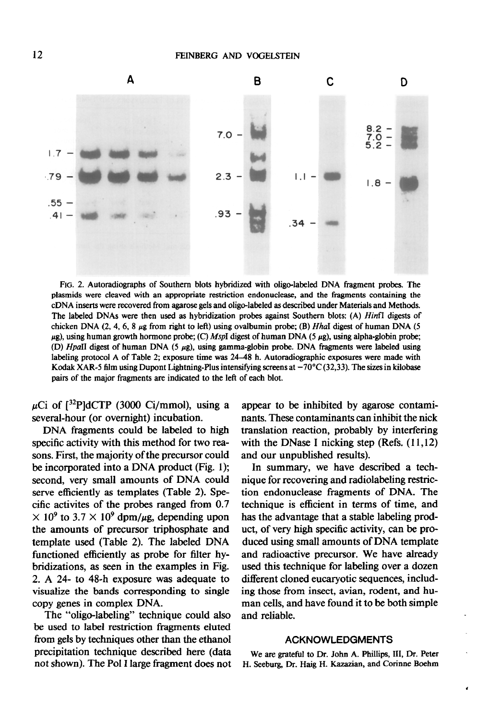

FIG. 2. Autoradiographs of Southern blots hybridized with oligo-labeled DNA fragment probes. The plasmids were cleaved with an appropriate restriction endonuclease, and the fragments containing the cDNA inserts were recovered from agarose gels and oligo-labeled as described under Materials and Methods. The labeled DNAs were then used as hybridization probes against Southern blots: (A) HinfI digests of chicken DNA  $(2, 4, 6, 8 \mu$ g from right to left) using ovalbumin probe; (B) Hhal digest of human DNA (5)  $\mu$ g), using human growth hormone probe; (C) MspI digest of human DNA (5  $\mu$ g), using alpha-globin probe; (D) HpaII digest of human DNA (5 µg), using gamma-globin probe. DNA fragments were labeled using labeling protocol A of Table 2; exposure time was 24-48 h. Autoradiographic exposures were made with Kodak XAR-5 film using Dupont Lightning-Plus intensifying screens at  $-70^{\circ}$ C (32,33). The sizes in kilobase pairs of the major fragments are indicated to the left of each blot.

 $\mu$ Ci of [<sup>32</sup>P]dCTP (3000 Ci/mmol), using a several-hour (or overnight) incubation.

DNA fragments could be labeled to high specific activity with this method for two reasons. First, the majority of the precursor could be incorporated into a DNA product (Fig. 1); second, very small amounts of DNA could serve efficiently as templates (Table 2). Specific activites of the probes ranged from 0.7  $\times$  10<sup>9</sup> to 3.7  $\times$  10<sup>9</sup> dpm/ $\mu$ g, depending upon the amounts of precursor triphosphate and template used (Table 2). The labeled DNA functioned efficiently as probe for filter hybridizations, as seen in the examples in Fig. 2. A 24- to 48-h exposure was adequate to visualize the bands corresponding to single copy genes in complex DNA.

The "oligo-labeling" technique could also be used to label restriction fragments eluted from gels by techniques other than the ethanol precipitation technique described here (data not shown). The Pol I large fragment does not

appear to be inhibited by agarose contaminants. These contaminants can inhibit the nick translation reaction, probably by interfering with the DNase I nicking step (Refs.  $(11,12)$ ) and our unpublished results).

In summary, we have described a technique for recovering and radiolabeling restriction endonucleasc fragments of DNA. The technique is efficient in terms of time, and has the advantage that a stable labeling product, of very high specific activity, can be produced using small amounts of DNA template and radioactive precursor. We have already used this technique for labeling over a dozen different cloned eucaryotic sequences, including those from insect, avian, rodent, and human cells, and have found it to be both simple and reliable.

#### ACKNOWLEDGMENTS

We are grateful to Dr. John A. Phillips, III, Dr. Peter H. Seeburg, Dr. Haig H. Kazazian, and Corinne Boehm